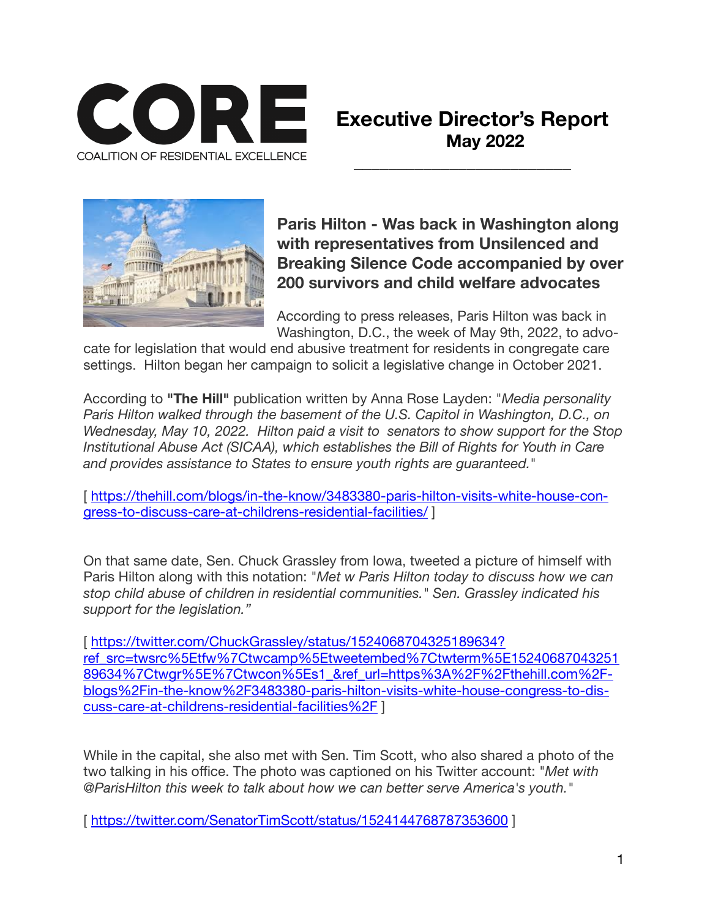

# **Executive Director's Report May 2022**



**Paris Hilton - Was back in Washington along with representatives from Unsilenced and Breaking Silence Code accompanied by over 200 survivors and child welfare advocates** 

According to press releases, Paris Hilton was back in Washington, D.C., the week of May 9th, 2022, to advo-

cate for legislation that would end abusive treatment for residents in congregate care settings. Hilton began her campaign to solicit a legislative change in October 2021.

According to **"The Hill"** publication written by Anna Rose Layden: "*Media personality Paris Hilton walked through the basement of the U.S. Capitol in Washington, D.C., on Wednesday, May 10, 2022. Hilton paid a visit to senators to show support for the Stop Institutional Abuse Act (SICAA), which establishes the Bill of Rights for Youth in Care and provides assistance to States to ensure youth rights are guaranteed.*"

[\[ https://thehill.com/blogs/in-the-know/3483380-paris-hilton-visits-white-house-con](https://thehill.com/blogs/in-the-know/3483380-paris-hilton-visits-white-house-congress-to-discuss-care-at-childrens-residential-facilities/)[gress-to-discuss-care-at-childrens-residential-facilities/](https://thehill.com/blogs/in-the-know/3483380-paris-hilton-visits-white-house-congress-to-discuss-care-at-childrens-residential-facilities/) ]

On that same date, Sen. Chuck Grassley from Iowa, tweeted a picture of himself with Paris Hilton along with this notation: "*Met w Paris Hilton today to discuss how we can stop child abuse of children in residential communities." Sen. Grassley indicated his support for the legislation."* 

[ [https://twitter.com/ChuckGrassley/status/1524068704325189634?](https://twitter.com/ChuckGrassley/status/1524068704325189634?ref_src=twsrc%5Etfw%7Ctwcamp%5Etweetembed%7Ctwterm%5E1524068704325189634%7Ctwgr%5E%7Ctwcon%5Es1_&ref_url=https%3A%2F%2Fthehill.com%2Fblogs%2Fin-the-know%2F3483380-paris-hilton-visits-white-house-congress-to-discuss-care-at-childrens-residential-facilities%2F) [ref\\_src=twsrc%5Etfw%7Ctwcamp%5Etweetembed%7Ctwterm%5E15240687043251](https://twitter.com/ChuckGrassley/status/1524068704325189634?ref_src=twsrc%5Etfw%7Ctwcamp%5Etweetembed%7Ctwterm%5E1524068704325189634%7Ctwgr%5E%7Ctwcon%5Es1_&ref_url=https%3A%2F%2Fthehill.com%2Fblogs%2Fin-the-know%2F3483380-paris-hilton-visits-white-house-congress-to-discuss-care-at-childrens-residential-facilities%2F) [89634%7Ctwgr%5E%7Ctwcon%5Es1\\_&ref\\_url=https%3A%2F%2Fthehill.com%2F](https://twitter.com/ChuckGrassley/status/1524068704325189634?ref_src=twsrc%5Etfw%7Ctwcamp%5Etweetembed%7Ctwterm%5E1524068704325189634%7Ctwgr%5E%7Ctwcon%5Es1_&ref_url=https%3A%2F%2Fthehill.com%2Fblogs%2Fin-the-know%2F3483380-paris-hilton-visits-white-house-congress-to-discuss-care-at-childrens-residential-facilities%2F)[blogs%2Fin-the-know%2F3483380-paris-hilton-visits-white-house-congress-to-dis](https://twitter.com/ChuckGrassley/status/1524068704325189634?ref_src=twsrc%5Etfw%7Ctwcamp%5Etweetembed%7Ctwterm%5E1524068704325189634%7Ctwgr%5E%7Ctwcon%5Es1_&ref_url=https%3A%2F%2Fthehill.com%2Fblogs%2Fin-the-know%2F3483380-paris-hilton-visits-white-house-congress-to-discuss-care-at-childrens-residential-facilities%2F)[cuss-care-at-childrens-residential-facilities%2F](https://twitter.com/ChuckGrassley/status/1524068704325189634?ref_src=twsrc%5Etfw%7Ctwcamp%5Etweetembed%7Ctwterm%5E1524068704325189634%7Ctwgr%5E%7Ctwcon%5Es1_&ref_url=https%3A%2F%2Fthehill.com%2Fblogs%2Fin-the-know%2F3483380-paris-hilton-visits-white-house-congress-to-discuss-care-at-childrens-residential-facilities%2F) ]

While in the capital, she also met with Sen. Tim Scott, who also shared a photo of the two talking in his office. The photo was captioned on his Twitter account: "*Met with @ParisHilton this week to talk about how we can better serve America's youth."*

[<https://twitter.com/SenatorTimScott/status/1524144768787353600> ]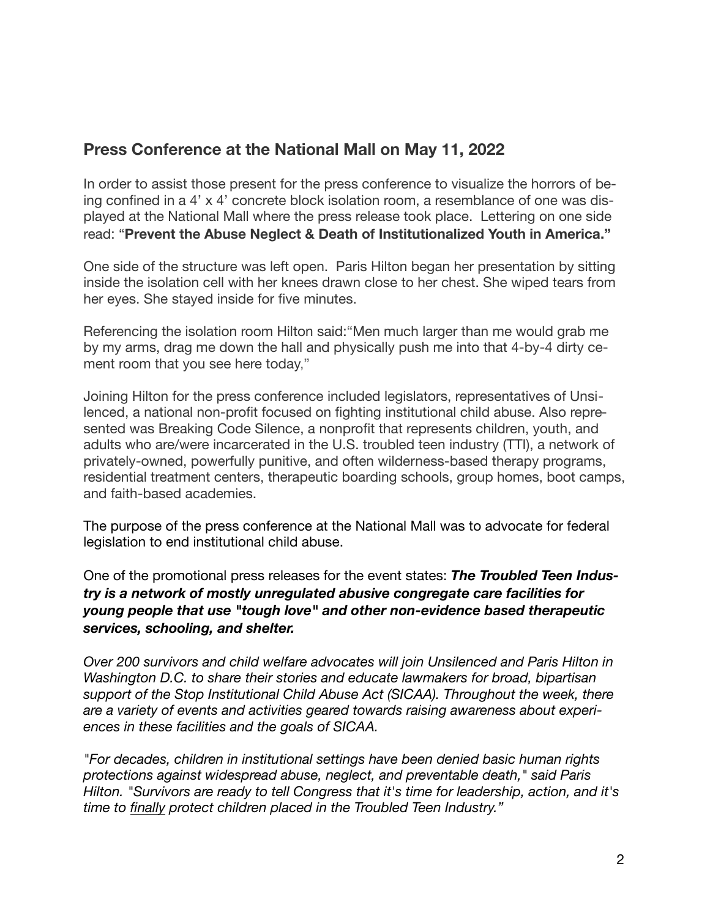# **Press Conference at the National Mall on May 11, 2022**

In order to assist those present for the press conference to visualize the horrors of being confined in a 4' x 4' concrete block isolation room, a resemblance of one was displayed at the National Mall where the press release took place. Lettering on one side read: "**Prevent the Abuse Neglect & Death of Institutionalized Youth in America."** 

One side of the structure was left open. Paris Hilton began her presentation by sitting inside the isolation cell with her knees drawn close to her chest. She wiped tears from her eyes. She stayed inside for five minutes.

Referencing the isolation room Hilton said:"Men much larger than me would grab me by my arms, drag me down the hall and physically push me into that 4-by-4 dirty cement room that you see here today,"

Joining Hilton for the press conference included legislators, representatives of Unsilenced, a national non-profit focused on fighting institutional child abuse. Also represented was Breaking Code Silence, a nonprofit that represents children, youth, and adults who are/were incarcerated in the U.S. troubled teen industry (TTI), a network of privately-owned, powerfully punitive, and often wilderness-based therapy programs, residential treatment centers, therapeutic boarding schools, group homes, boot camps, and faith-based academies.

The purpose of the press conference at the National Mall was to advocate for federal legislation to end institutional child abuse.

One of the promotional press releases for the event states: *The Troubled Teen Industry is a network of mostly unregulated abusive congregate care facilities for young people that use "tough love" and other non-evidence based therapeutic services, schooling, and shelter.* 

*Over 200 survivors and child welfare advocates will join Unsilenced and Paris Hilton in Washington D.C. to share their stories and educate lawmakers for broad, bipartisan support of the Stop Institutional Child Abuse Act (SICAA). Throughout the week, there are a variety of events and activities geared towards raising awareness about experiences in these facilities and the goals of SICAA.* 

*"For decades, children in institutional settings have been denied basic human rights protections against widespread abuse, neglect, and preventable death," said Paris Hilton. "Survivors are ready to tell Congress that it's time for leadership, action, and it's time to finally protect children placed in the Troubled Teen Industry."*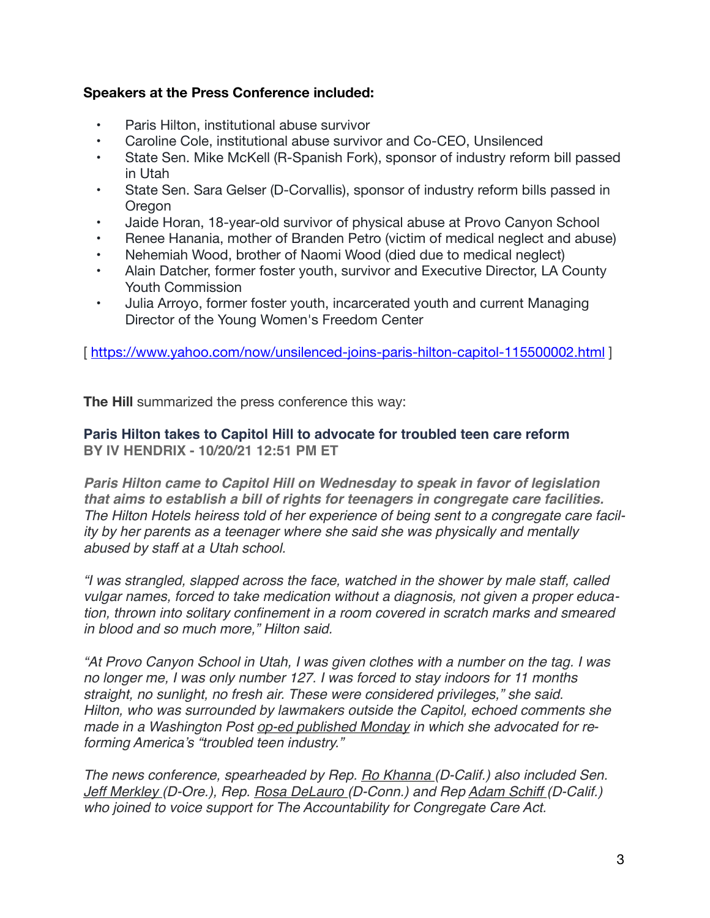### **Speakers at the Press Conference included:**

- Paris Hilton, institutional abuse survivor
- Caroline Cole, institutional abuse survivor and Co-CEO, Unsilenced
- State Sen. Mike McKell (R-Spanish Fork), sponsor of industry reform bill passed in Utah
- State Sen. Sara Gelser (D-Corvallis), sponsor of industry reform bills passed in **Oregon**
- Jaide Horan, 18-year-old survivor of physical abuse at Provo Canyon School
- Renee Hanania, mother of Branden Petro (victim of medical neglect and abuse)
- Nehemiah Wood, brother of Naomi Wood (died due to medical neglect)
- Alain Datcher, former foster youth, survivor and Executive Director, LA County Youth Commission
- Julia Arroyo, former foster youth, incarcerated youth and current Managing Director of the Young Women's Freedom Center

[<https://www.yahoo.com/now/unsilenced-joins-paris-hilton-capitol-115500002.html>]

**The Hill** summarized the press conference this way: 

#### **Paris Hilton takes to Capitol Hill to advocate for troubled teen care reform BY IV HENDRIX - 10/20/21 12:51 PM ET**

*Paris Hilton came to Capitol Hill on Wednesday to speak in favor of legislation that aims to establish a bill of rights for teenagers in congregate care facilities. The Hilton Hotels heiress told of her experience of being sent to a congregate care facility by her parents as a teenager where she said she was physically and mentally abused by staff at a Utah school.*

*"I was strangled, slapped across the face, watched in the shower by male staff, called vulgar names, forced to take medication without a diagnosis, not given a proper education, thrown into solitary confinement in a room covered in scratch marks and smeared in blood and so much more," Hilton said.*

*"At Provo Canyon School in Utah, I was given clothes with a number on the tag. I was no longer me, I was only number 127. I was forced to stay indoors for 11 months straight, no sunlight, no fresh air. These were considered privileges," she said. Hilton, who was surrounded by lawmakers outside the Capitol, echoed comments she made in a Washington Post [op-ed published Monday](https://www.washingtonpost.com/opinions/2021/10/18/paris-hilton-child-care-facilities-abuse-reform/) in which she advocated for reforming America's "troubled teen industry."*

*The news conference, spearheaded by Rep. [Ro Khanna \(](https://thehill.com/people/ro-khanna/)D-Calif.) also included Sen. [Jeff Merkley \(](https://thehill.com/people/jeff-merkley/)D-Ore.), Rep. [Rosa DeLauro \(](https://thehill.com/people/rosa-delauro/)D-Conn.) and Rep [Adam Schiff \(](https://thehill.com/people/adam-schiff/)D-Calif.) who joined to voice support for The Accountability for Congregate Care Act.*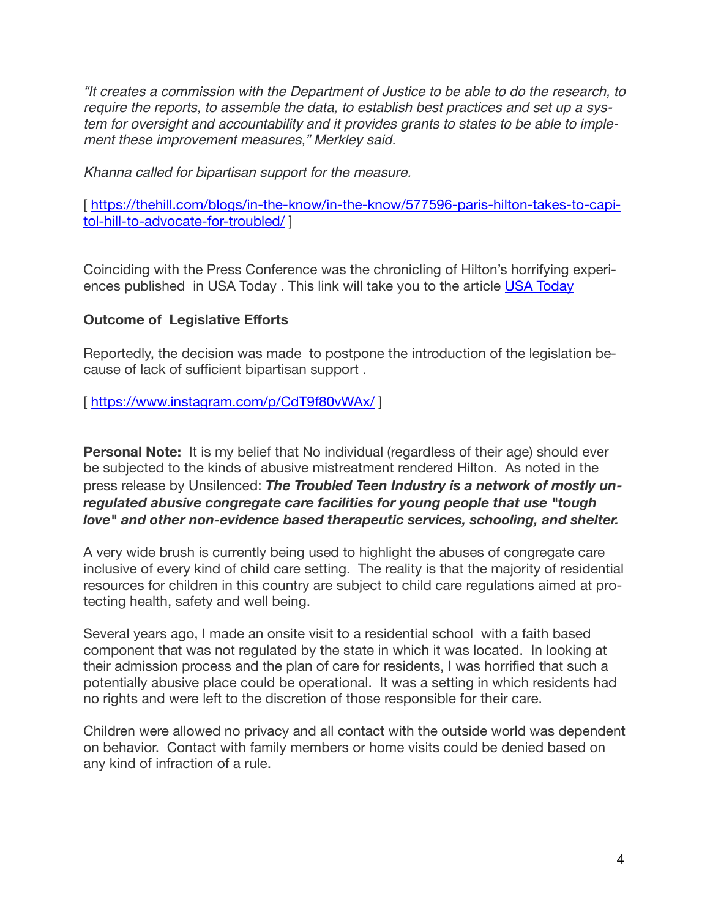*"It creates a commission with the Department of Justice to be able to do the research, to require the reports, to assemble the data, to establish best practices and set up a system for oversight and accountability and it provides grants to states to be able to implement these improvement measures," Merkley said.*

*Khanna called for bipartisan support for the measure.*

[https://thehill.com/blogs/in-the-know/in-the-know/577596-paris-hilton-takes-to-capi[tol-hill-to-advocate-for-troubled/](https://thehill.com/blogs/in-the-know/in-the-know/577596-paris-hilton-takes-to-capitol-hill-to-advocate-for-troubled/) ]

Coinciding with the Press Conference was the chronicling of Hilton's horrifying experi-ences published in [USA Today](https://www.usatoday.com/story/opinion/voices/2022/05/11/paris-hilton-child-abuse-provo-canyon-school-troubled-teen/9664329002/) . This link will take you to the article USA Today

### **Outcome of Legislative Efforts**

Reportedly, the decision was made to postpone the introduction of the legislation because of lack of sufficient bipartisan support .

[<https://www.instagram.com/p/CdT9f80vWAx/> ]

**Personal Note:** It is my belief that No individual (regardless of their age) should ever be subjected to the kinds of abusive mistreatment rendered Hilton. As noted in the press release by Unsilenced: *The Troubled Teen Industry is a network of mostly unregulated abusive congregate care facilities for young people that use "tough love" and other non-evidence based therapeutic services, schooling, and shelter.* 

A very wide brush is currently being used to highlight the abuses of congregate care inclusive of every kind of child care setting. The reality is that the majority of residential resources for children in this country are subject to child care regulations aimed at protecting health, safety and well being.

Several years ago, I made an onsite visit to a residential school with a faith based component that was not regulated by the state in which it was located. In looking at their admission process and the plan of care for residents, I was horrified that such a potentially abusive place could be operational. It was a setting in which residents had no rights and were left to the discretion of those responsible for their care.

Children were allowed no privacy and all contact with the outside world was dependent on behavior. Contact with family members or home visits could be denied based on any kind of infraction of a rule.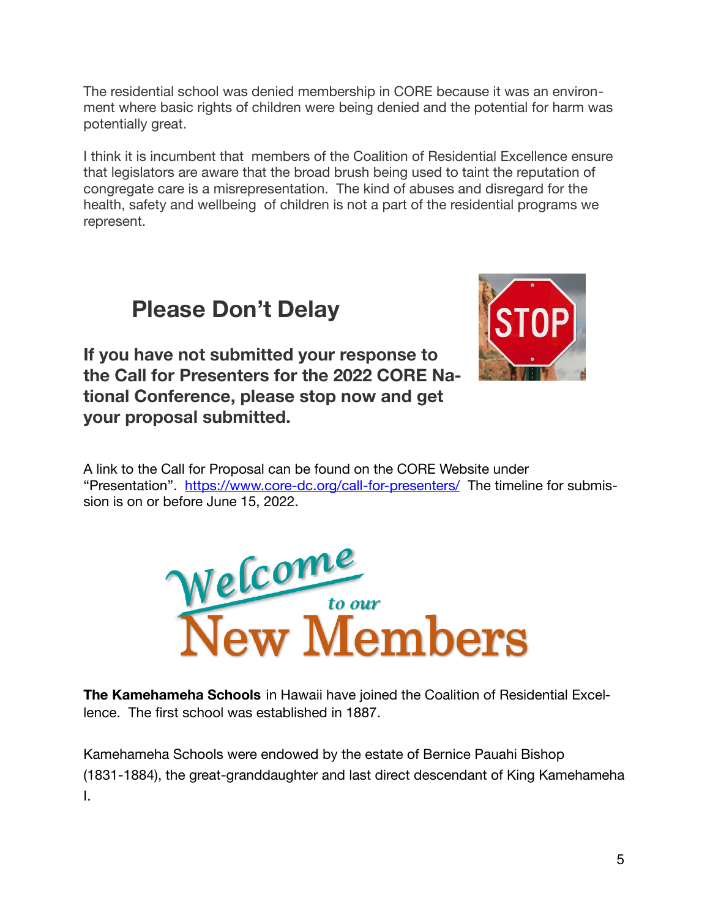The residential school was denied membership in CORE because it was an environment where basic rights of children were being denied and the potential for harm was potentially great.

I think it is incumbent that members of the Coalition of Residential Excellence ensure that legislators are aware that the broad brush being used to taint the reputation of congregate care is a misrepresentation. The kind of abuses and disregard for the health, safety and wellbeing of children is not a part of the residential programs we represent.

# **Please Don't Delay**

**If you have not submitted your response to the Call for Presenters for the 2022 CORE National Conference, please stop now and get your proposal submitted.** 



A link to the Call for Proposal can be found on the CORE Website under "Presentation". <https://www.core-dc.org/call-for-presenters/>The timeline for submission is on or before June 15, 2022.



**The Kamehameha Schools** in Hawaii have joined the Coalition of Residential Excellence. The first school was established in 1887.

Kamehameha Schools were endowed by the estate of Bernice Pauahi Bishop (1831-1884), the great-granddaughter and last direct descendant of King Kamehameha I.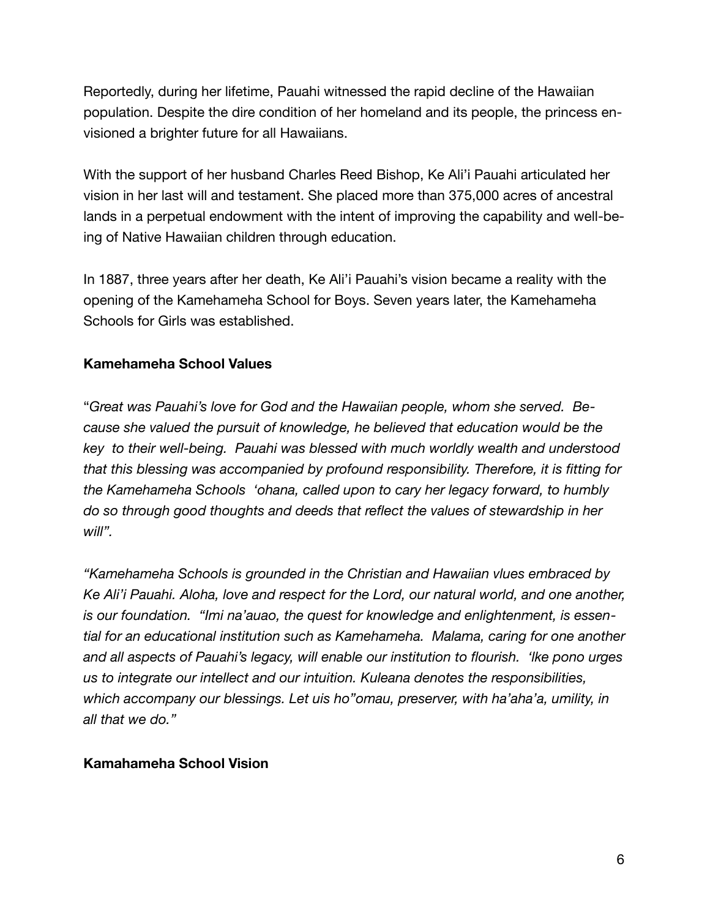Reportedly, during her lifetime, Pauahi witnessed the rapid decline of the Hawaiian population. Despite the dire condition of her homeland and its people, the princess envisioned a brighter future for all Hawaiians.

With the support of her husband Charles Reed Bishop, Ke Ali'i Pauahi articulated her vision in her last will and testament. She placed more than 375,000 acres of ancestral lands in a perpetual endowment with the intent of improving the capability and well-being of Native Hawaiian children through education.

In 1887, three years after her death, Ke Ali'i Pauahi's vision became a reality with the opening of the Kamehameha School for Boys. Seven years later, the Kamehameha Schools for Girls was established.

## **Kamehameha School Values**

"Great was Pauahi's love for God and the Hawaiian people, whom she served. Be*cause she valued the pursuit of knowledge, he believed that education would be the key to their well-being. Pauahi was blessed with much worldly wealth and understood that this blessing was accompanied by profound responsibility. Therefore, it is fitting for the Kamehameha Schools 'ohana, called upon to cary her legacy forward, to humbly do so through good thoughts and deeds that reflect the values of stewardship in her will".*

*"Kamehameha Schools is grounded in the Christian and Hawaiian vlues embraced by Ke Ali'i Pauahi. Aloha, love and respect for the Lord, our natural world, and one another, is our foundation. "Imi na'auao, the quest for knowledge and enlightenment, is essential for an educational institution such as Kamehameha. Malama, caring for one another and all aspects of Pauahi's legacy, will enable our institution to flourish. 'lke pono urges us to integrate our intellect and our intuition. Kuleana denotes the responsibilities, which accompany our blessings. Let uis ho"omau, preserver, with ha'aha'a, umility, in all that we do."*

### **Kamahameha School Vision**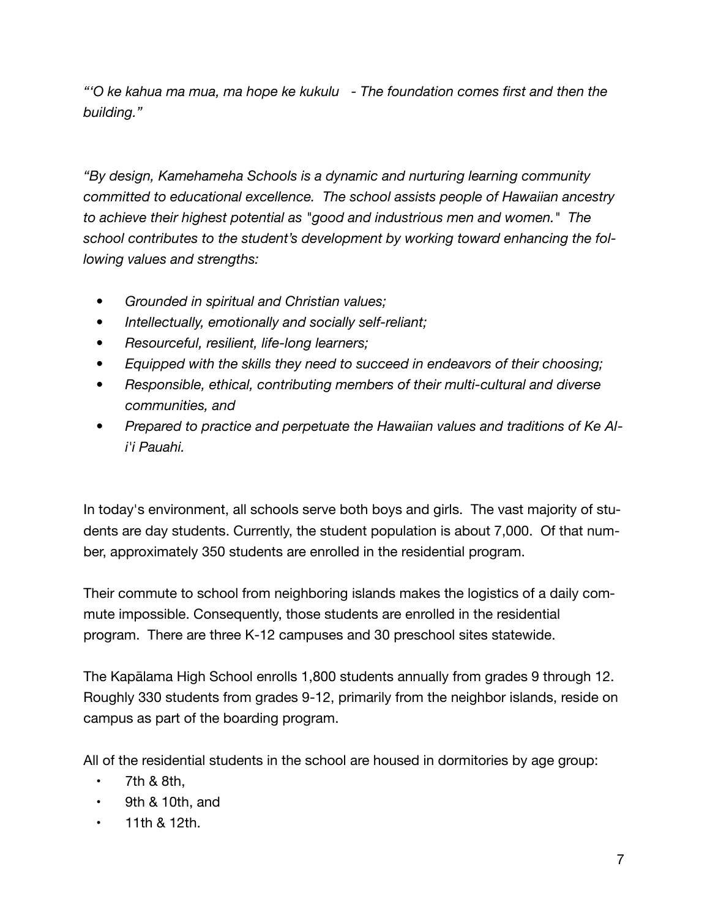*"'O ke kahua ma mua, ma hope ke kukulu - The foundation comes first and then the building."*

*"By design, Kamehameha Schools is a dynamic and nurturing learning community committed to educational excellence. The school assists people of Hawaiian ancestry to achieve their highest potential as "good and industrious men and women." The school contributes to the student's development by working toward enhancing the following values and strengths:*

- *• Grounded in spiritual and Christian values;*
- *• Intellectually, emotionally and socially self-reliant;*
- *• Resourceful, resilient, life-long learners;*
- *• Equipped with the skills they need to succeed in endeavors of their choosing;*
- *• Responsible, ethical, contributing members of their multi-cultural and diverse communities, and*
- *• Prepared to practice and perpetuate the Hawaiian values and traditions of Ke Ali'i Pauahi.*

In today's environment, all schools serve both boys and girls. The vast majority of students are day students. Currently, the student population is about 7,000. Of that number, approximately 350 students are enrolled in the residential program.

Their commute to school from neighboring islands makes the logistics of a daily commute impossible. Consequently, those students are enrolled in the residential program. There are three K-12 campuses and 30 preschool sites statewide.

The Kapālama High School enrolls 1,800 students annually from grades 9 through 12. Roughly 330 students from grades 9-12, primarily from the neighbor islands, reside on campus as part of the boarding program.

All of the residential students in the school are housed in dormitories by age group:

- $\cdot$  7th & 8th.
- 9th & 10th, and
- 11th & 12th.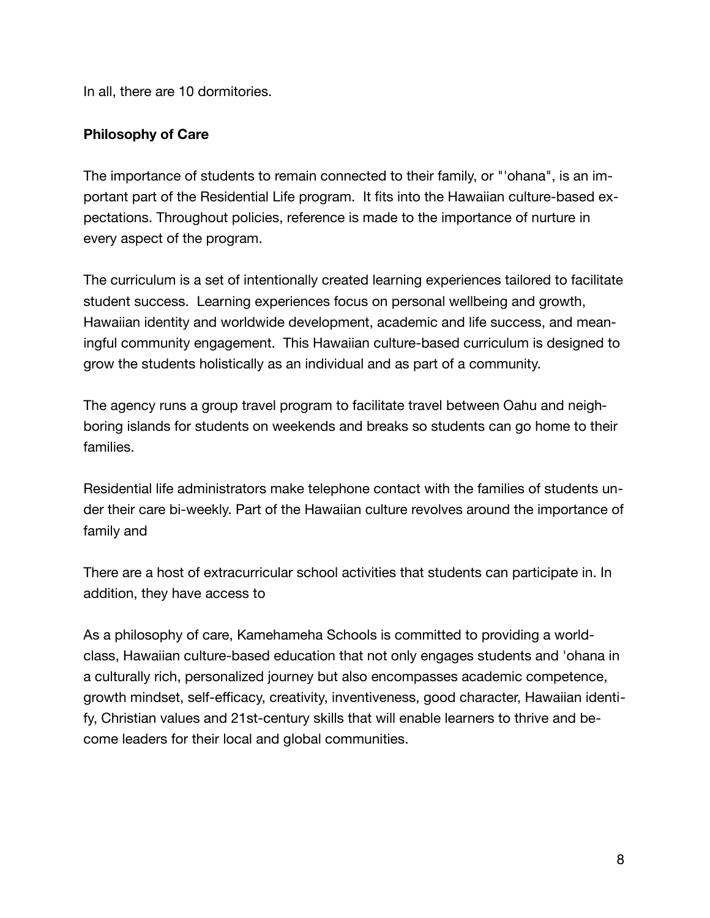In all, there are 10 dormitories.

# **Philosophy of Care**

The importance of students to remain connected to their family, or "'ohana", is an important part of the Residential Life program. It fits into the Hawaiian culture-based expectations. Throughout policies, reference is made to the importance of nurture in every aspect of the program.

The curriculum is a set of intentionally created learning experiences tailored to facilitate student success. Learning experiences focus on personal wellbeing and growth, Hawaiian identity and worldwide development, academic and life success, and meaningful community engagement. This Hawaiian culture-based curriculum is designed to grow the students holistically as an individual and as part of a community.

The agency runs a group travel program to facilitate travel between Oahu and neighboring islands for students on weekends and breaks so students can go home to their families.

Residential life administrators make telephone contact with the families of students under their care bi-weekly. Part of the Hawaiian culture revolves around the importance of family and

There are a host of extracurricular school activities that students can participate in. In addition, they have access to

As a philosophy of care, Kamehameha Schools is committed to providing a worldclass, Hawaiian culture-based education that not only engages students and 'ohana in a culturally rich, personalized journey but also encompasses academic competence, growth mindset, self-efficacy, creativity, inventiveness, good character, Hawaiian identify, Christian values and 21st-century skills that will enable learners to thrive and become leaders for their local and global communities.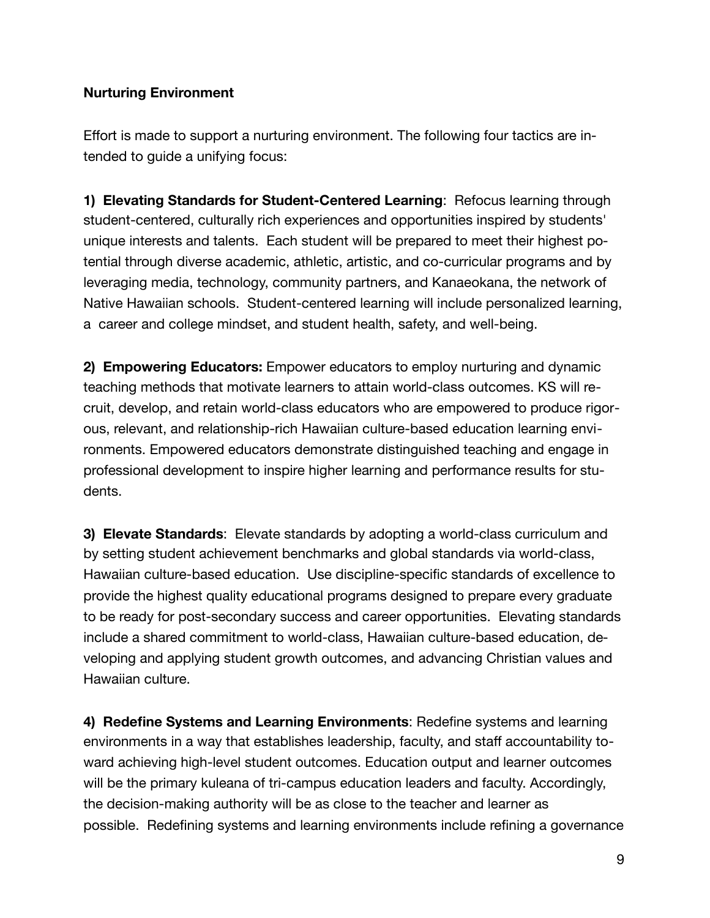### **Nurturing Environment**

Effort is made to support a nurturing environment. The following four tactics are intended to guide a unifying focus:

**1) Elevating Standards for Student-Centered Learning: Refocus learning through** student-centered, culturally rich experiences and opportunities inspired by students' unique interests and talents. Each student will be prepared to meet their highest potential through diverse academic, athletic, artistic, and co-curricular programs and by leveraging media, technology, community partners, and Kanaeokana, the network of Native Hawaiian schools. Student-centered learning will include personalized learning, a career and college mindset, and student health, safety, and well-being.

**2) Empowering Educators:** Empower educators to employ nurturing and dynamic teaching methods that motivate learners to attain world-class outcomes. KS will recruit, develop, and retain world-class educators who are empowered to produce rigorous, relevant, and relationship-rich Hawaiian culture-based education learning environments. Empowered educators demonstrate distinguished teaching and engage in professional development to inspire higher learning and performance results for students.

**3) Elevate Standards**: Elevate standards by adopting a world-class curriculum and by setting student achievement benchmarks and global standards via world-class, Hawaiian culture-based education. Use discipline-specific standards of excellence to provide the highest quality educational programs designed to prepare every graduate to be ready for post-secondary success and career opportunities. Elevating standards include a shared commitment to world-class, Hawaiian culture-based education, developing and applying student growth outcomes, and advancing Christian values and Hawaiian culture.

**4) Redefine Systems and Learning Environments**: Redefine systems and learning environments in a way that establishes leadership, faculty, and staff accountability toward achieving high-level student outcomes. Education output and learner outcomes will be the primary kuleana of tri-campus education leaders and faculty. Accordingly, the decision-making authority will be as close to the teacher and learner as possible. Redefining systems and learning environments include refining a governance